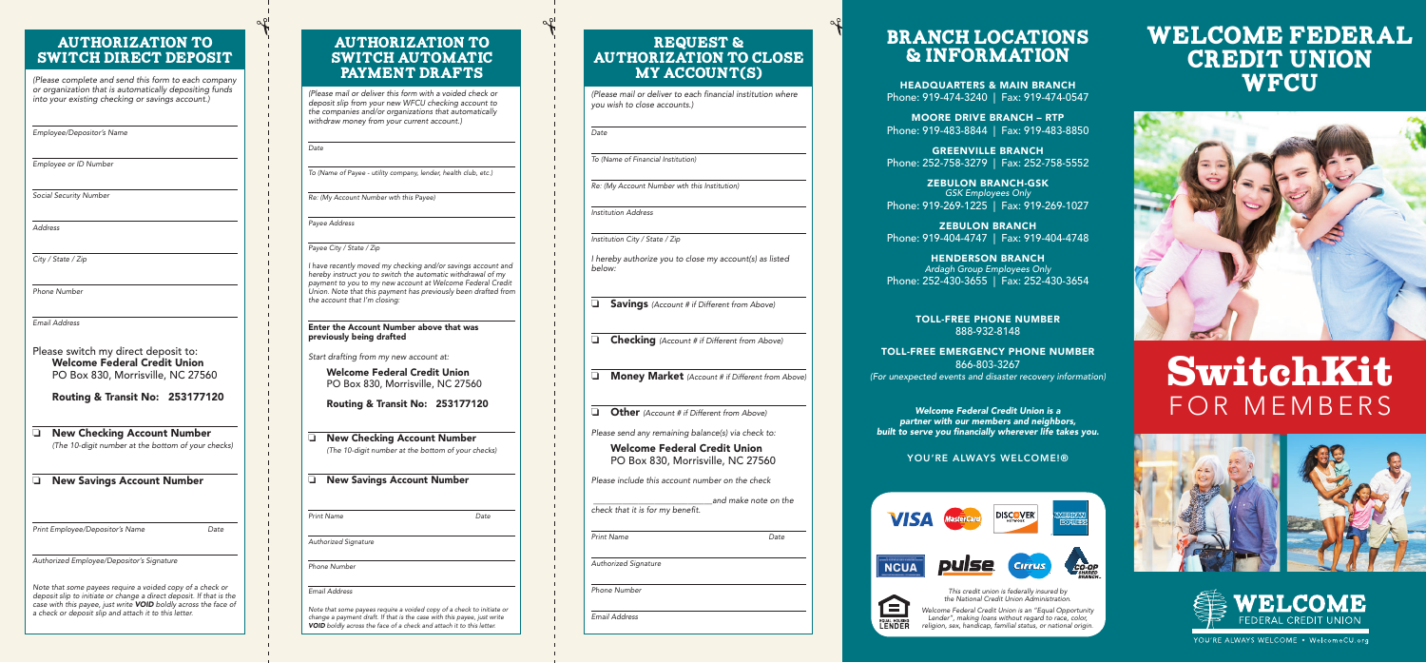## welcome federal **CREDIT UNION WFCU**



# **SwitchKit**  FOR MEMBERS







YOU'RE ALWAYS WELCOME . WelcomeCU.org

### Authorization to switch direct deposit

(Please complete and send this form to each company or organization that is automatically depositing funds into your existing checking or savings account.)

Employee/Depositor's Name

Employee or ID Number

❏ **New Checking Account Number**  (The 10-digit number at the bottom of your checks)

❏ **New Savings Account Number** 

Print Employee/Depositor's Name Date

Social Security Number

Address

City / State / Zip

Phone Number

Email Address

Please switch my direct deposit to: **Welcome Federal Credit Union**  PO Box 830, Morrisville, NC 27560

**Routing & Transit No: 253177120** 

Authorized Employee/Depositor's Signature

Note that some payees require a voided copy of a check or deposit slip to initiate or change a direct deposit. If that is the case with this payee, just write *VOID* boldly across the face of a check or deposit slip and attach it to this letter.

### **AUTHORIZATION TO** switch automatic PAYMENT DRAFTS

Note that some payees require a voided copy of a check to initiate or change a payment draft. If that is the case with this payee, just write **VOID** boldly across the face of a check and attach it to this letter.

(Please mail or deliver this form with a voided check or deposit slip from your new WFCU checking account to the companies and/or organizations that automatically withdraw money from your current account.)

### Request & Authorization to close MY ACCOUNT(S)

To (Name of Payee - utility company, lender, health club, etc.)

Re: (My Account Number wth this Payee)

Payee Address

**Date** 

Payee City / State / Zip

I have recently moved my checking and/or savings account and hereby instruct you to switch the automatic withdrawal of my payment to you to my new account at Welcome Federal Credit Union. Note that this payment has previously been drafted from the account that I'm closing:

#### **Enter the Account Number above that was previously being drafted**

Start drafting from my new account at:

**Welcome Federal Credit Union**  PO Box 830, Morrisville, NC 27560

**Routing & Transit No: 253177120** 

❏ **New Checking Account Number**  (The 10-digit number at the bottom of your checks)

#### ❏ **New Savings Account Number**

Print Name Date

Authorized Signature

Phone Number

Email Address

(Please mail or deliver to each financial institution where you wish to close accounts.)

Date

To (Name of Financial Institution)

Re: (My Account Number wth this Institution)

Institution Address

Institution City / State / Zip

I hereby authorize you to close my account(s) as listed below:

❏ **Savings** (Account # if Different from Above)

❏ **Checking** (Account # if Different from Above)

❏ **Money Market** (Account # if Different from Above)

❏ **Other** (Account # if Different from Above)

Please send any remaining balance(s) via check to:

**Welcome Federal Credit Union**  PO Box 830, Morrisville, NC 27560

Please include this account number on the check

 \_\_\_\_\_\_\_\_\_\_\_\_\_\_\_\_\_\_\_\_\_\_\_\_\_\_\_\_\_and make note on the check that it is for my benefit.

Print Name Date

Authorized Signature

Phone Number

Email Address

### BRANCH LOCATIONS & INFORMATION

**HEADQUARTERS & MAIN BRANCH**  Phone: 919-474-3240 | Fax: 919-474-0547

**MOORE DRIVE BRANCH – RTP**  Phone: 919-483-8844 | Fax: 919-483-8850

**GREENVILLE BRANCH**  Phone: 252-758-3279 | Fax: 252-758-5552

**ZEBULON BRANCH-GSK**  GSK Employees Only Phone: 919-269-1225 | Fax: 919-269-1027

**ZEBULON BRANCH**  Phone: 919-404-4747 | Fax: 919-404-4748

**HENDERSON BRANCH**  Ardagh Group Employees Only Phone: 252-430-3655 | Fax: 252-430-3654

> **TOLL-FREE PHONE NUMBER**  888-932-8148

**TOLL-FREE EMERGENCY PHONE NUMBER**  866-803-3267 (For unexpected events and disaster recovery information)

*Welcome Federal Credit Union is a partner with our members and neighbors, built to serve you financially wherever life takes you.* 





#### **YOU'RE ALWAYS WELCOME!®**



This credit union is federally insured by the National Credit Union Administration.

Welcome Federal Credit Union is an "Equal Opportunity Lender", making loans without regard to race, color, religion, sex, handicap, familial status, or national origin.